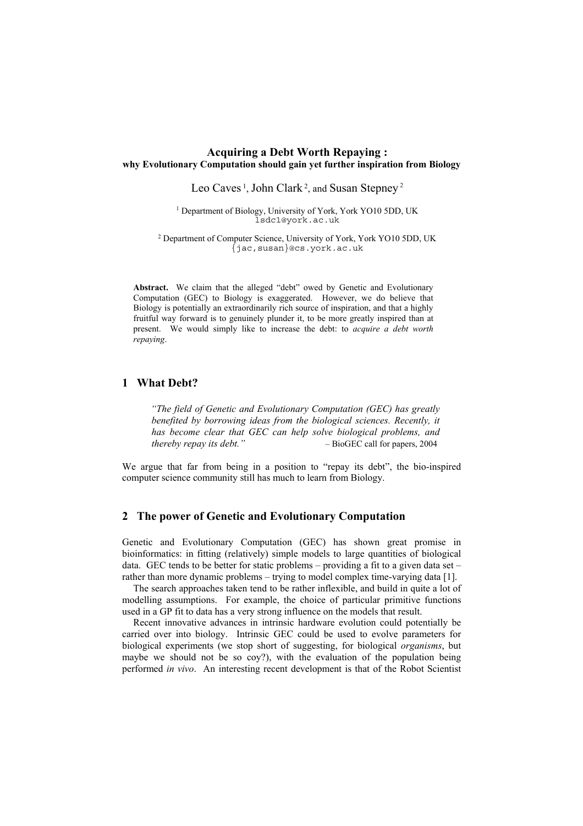### **Acquiring a Debt Worth Repaying : why Evolutionary Computation should gain yet further inspiration from Biology**

Leo Caves<sup>1</sup>, John Clark<sup>2</sup>, and Susan Stepney<sup>2</sup>

<sup>1</sup> Department of Biology, University of York, York YO10 5DD, UK lsdc1@york.ac.uk

2 Department of Computer Science, University of York, York YO10 5DD, UK {jac,susan}@cs.york.ac.uk

**Abstract.** We claim that the alleged "debt" owed by Genetic and Evolutionary Computation (GEC) to Biology is exaggerated. However, we do believe that Biology is potentially an extraordinarily rich source of inspiration, and that a highly fruitful way forward is to genuinely plunder it, to be more greatly inspired than at present. We would simply like to increase the debt: to *acquire a debt worth repaying*.

## **1 What Debt?**

*"The field of Genetic and Evolutionary Computation (GEC) has greatly*  benefited by borrowing ideas from the biological sciences. Recently, it *has become clear that GEC can help solve biological problems, and thereby repay its debt."* – BioGEC call for papers, 2004

We argue that far from being in a position to "repay its debt", the bio-inspired computer science community still has much to learn from Biology.

#### **2 The power of Genetic and Evolutionary Computation**

Genetic and Evolutionary Computation (GEC) has shown great promise in bioinformatics: in fitting (relatively) simple models to large quantities of biological data. GEC tends to be better for static problems – providing a fit to a given data set – rather than more dynamic problems – trying to model complex time-varying data [\[1\]](#page-3-0).

The search approaches taken tend to be rather inflexible, and build in quite a lot of modelling assumptions. For example, the choice of particular primitive functions used in a GP fit to data has a very strong influence on the models that result.

Recent innovative advances in intrinsic hardware evolution could potentially be carried over into biology. Intrinsic GEC could be used to evolve parameters for biological experiments (we stop short of suggesting, for biological *organisms*, but maybe we should not be so coy?), with the evaluation of the population being performed *in vivo*. An interesting recent development is that of the Robot Scientist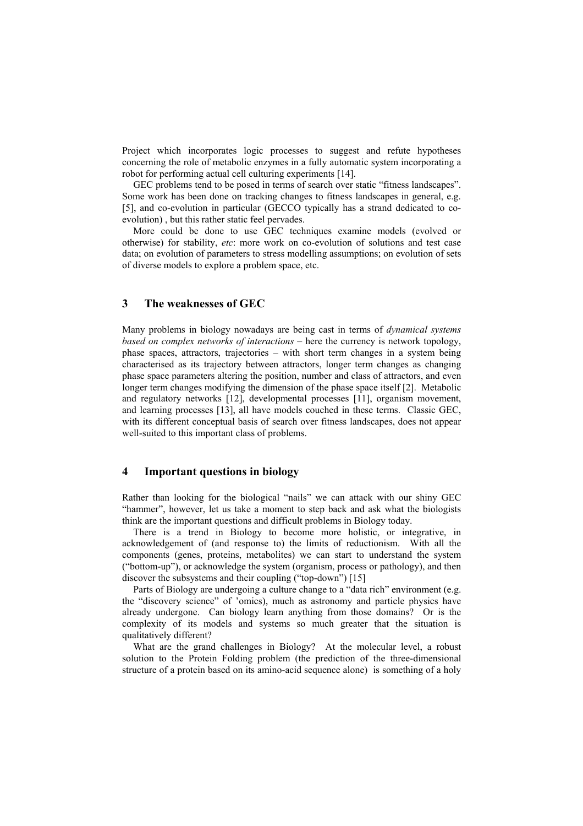Project which incorporates logic processes to suggest and refute hypotheses concerning the role of metabolic enzymes in a fully automatic system incorporating a robot for performing actual cell culturing experiments [\[14\]](#page-3-1).

GEC problems tend to be posed in terms of search over static "fitness landscapes". Some work has been done on tracking changes to fitness landscapes in general, e.g. [\[5\]](#page-3-2), and co-evolution in particular (GECCO typically has a strand dedicated to coevolution) , but this rather static feel pervades.

More could be done to use GEC techniques examine models (evolved or otherwise) for stability, *etc*: more work on co-evolution of solutions and test case data; on evolution of parameters to stress modelling assumptions; on evolution of sets of diverse models to explore a problem space, etc.

## **3 The weaknesses of GEC**

Many problems in biology nowadays are being cast in terms of *dynamical systems based on complex networks of interactions* – here the currency is network topology, phase spaces, attractors, trajectories – with short term changes in a system being characterised as its trajectory between attractors, longer term changes as changing phase space parameters altering the position, number and class of attractors, and even longer term changes modifying the dimension of the phase space itself [\[2\]](#page-3-3). Metabolic and regulatory networks [\[12\]](#page-3-4), developmental processes [\[11\]](#page-3-5), organism movement, and learning processes [\[13\]](#page-3-6), all have models couched in these terms. Classic GEC, with its different conceptual basis of search over fitness landscapes, does not appear well-suited to this important class of problems.

### **4 Important questions in biology**

Rather than looking for the biological "nails" we can attack with our shiny GEC "hammer", however, let us take a moment to step back and ask what the biologists think are the important questions and difficult problems in Biology today.

There is a trend in Biology to become more holistic, or integrative, in acknowledgement of (and response to) the limits of reductionism. With all the components (genes, proteins, metabolites) we can start to understand the system ("bottom-up"), or acknowledge the system (organism, process or pathology), and then discover the subsystems and their coupling ("top-down") [\[15\]](#page-3-7)

Parts of Biology are undergoing a culture change to a "data rich" environment (e.g. the "discovery science" of 'omics), much as astronomy and particle physics have already undergone. Can biology learn anything from those domains? Or is the complexity of its models and systems so much greater that the situation is qualitatively different?

What are the grand challenges in Biology? At the molecular level, a robust solution to the Protein Folding problem (the prediction of the three-dimensional structure of a protein based on its amino-acid sequence alone) is something of a holy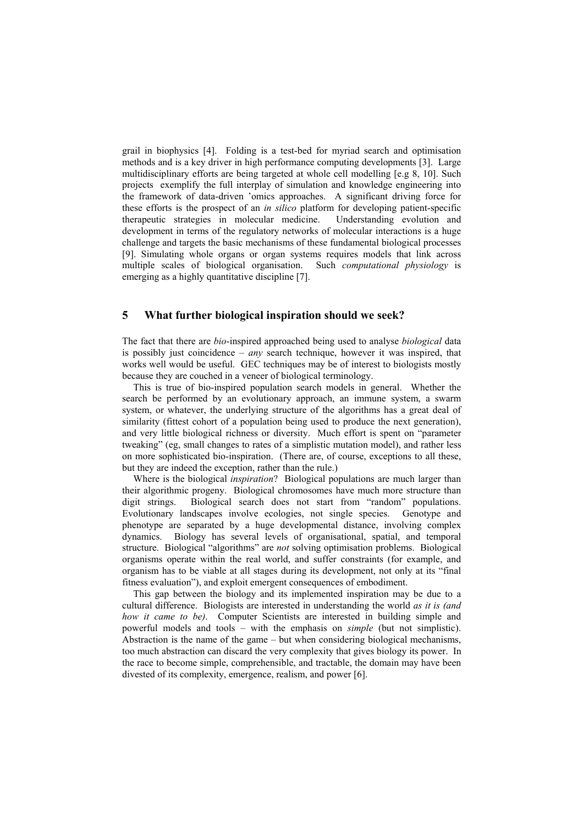grail in biophysics [[4\]](#page-3-8). Folding is a test-bed for myriad search and optimisation methods and is a key driver in high performance computing developments [[3\]](#page-3-9). Large multidisciplinary efforts are being targeted at whole cell modelling [e.g [8,](#page-3-10) [10\]](#page-3-11). Such projects exemplify the full interplay of simulation and knowledge engineering into the framework of data-driven 'omics approaches. A significant driving force for these efforts is the prospect of an *in silico* platform for developing patient-specific therapeutic strategies in molecular medicine. Understanding evolution and development in terms of the regulatory networks of molecular interactions is a huge challenge and targets the basic mechanisms of these fundamental biological processes [\[9\]](#page-3-12). Simulating whole organs or organ systems requires models that link across multiple scales of biological organisation. Such *computational physiology* is emerging as a highly quantitative discipline [\[7\]](#page-3-13).

# **5 What further biological inspiration should we seek?**

The fact that there are *bio*-inspired approached being used to analyse *biological* data is possibly just coincidence – *any* search technique, however it was inspired, that works well would be useful. GEC techniques may be of interest to biologists mostly because they are couched in a veneer of biological terminology.

This is true of bio-inspired population search models in general. Whether the search be performed by an evolutionary approach, an immune system, a swarm system, or whatever, the underlying structure of the algorithms has a great deal of similarity (fittest cohort of a population being used to produce the next generation), and very little biological richness or diversity. Much effort is spent on "parameter tweaking" (eg, small changes to rates of a simplistic mutation model), and rather less on more sophisticated bio-inspiration. (There are, of course, exceptions to all these, but they are indeed the exception, rather than the rule.)

Where is the biological *inspiration*? Biological populations are much larger than their algorithmic progeny. Biological chromosomes have much more structure than digit strings. Biological search does not start from "random" populations. Evolutionary landscapes involve ecologies, not single species. Genotype and phenotype are separated by a huge developmental distance, involving complex dynamics. Biology has several levels of organisational, spatial, and temporal structure. Biological "algorithms" are *not* solving optimisation problems. Biological organisms operate within the real world, and suffer constraints (for example, and organism has to be viable at all stages during its development, not only at its "final fitness evaluation"), and exploit emergent consequences of embodiment.

This gap between the biology and its implemented inspiration may be due to a cultural difference. Biologists are interested in understanding the world *as it is (and how it came to be)*. Computer Scientists are interested in building simple and powerful models and tools – with the emphasis on *simple* (but not simplistic). Abstraction is the name of the game – but when considering biological mechanisms, too much abstraction can discard the very complexity that gives biology its power. In the race to become simple, comprehensible, and tractable, the domain may have been divested of its complexity, emergence, realism, and power [\[6\]](#page-3-14).